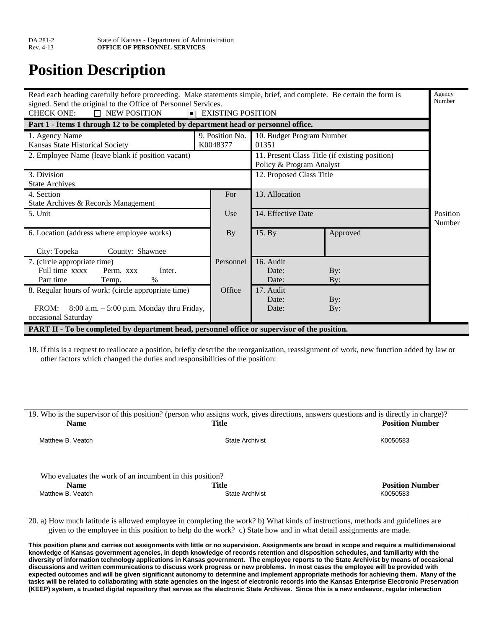# **Position Description**

| Read each heading carefully before proceeding. Make statements simple, brief, and complete. Be certain the form is<br>signed. Send the original to the Office of Personnel Services.<br><b>CHECK ONE:</b><br>$\Box$ NEW POSITION | <b>EXISTING POSITION</b>                                                   |                           |          | Agency<br>Number   |
|----------------------------------------------------------------------------------------------------------------------------------------------------------------------------------------------------------------------------------|----------------------------------------------------------------------------|---------------------------|----------|--------------------|
| Part 1 - Items 1 through 12 to be completed by department head or personnel office.                                                                                                                                              |                                                                            |                           |          |                    |
| 1. Agency Name                                                                                                                                                                                                                   | 9. Position No.                                                            | 10. Budget Program Number |          |                    |
| Kansas State Historical Society                                                                                                                                                                                                  | K0048377                                                                   | 01351                     |          |                    |
| 2. Employee Name (leave blank if position vacant)                                                                                                                                                                                | 11. Present Class Title (if existing position)<br>Policy & Program Analyst |                           |          |                    |
| 3. Division                                                                                                                                                                                                                      |                                                                            | 12. Proposed Class Title  |          |                    |
| <b>State Archives</b>                                                                                                                                                                                                            |                                                                            |                           |          |                    |
| 4. Section                                                                                                                                                                                                                       | For                                                                        | 13. Allocation            |          |                    |
| State Archives & Records Management                                                                                                                                                                                              |                                                                            |                           |          |                    |
| 5. Unit                                                                                                                                                                                                                          | Use                                                                        | 14. Effective Date        |          | Position<br>Number |
| 6. Location (address where employee works)                                                                                                                                                                                       | <b>By</b>                                                                  | 15. By                    | Approved |                    |
| City: Topeka<br>County: Shawnee                                                                                                                                                                                                  |                                                                            |                           |          |                    |
| 7. (circle appropriate time)                                                                                                                                                                                                     | Personnel                                                                  | 16. Audit                 |          |                    |
| Full time xxxx<br>Perm. xxx<br>Inter.                                                                                                                                                                                            |                                                                            | Date:                     | By:      |                    |
| $\%$<br>Part time<br>Temp.                                                                                                                                                                                                       |                                                                            | Date:                     | By:      |                    |
| 8. Regular hours of work: (circle appropriate time)                                                                                                                                                                              | Office                                                                     | 17. Audit                 |          |                    |
|                                                                                                                                                                                                                                  |                                                                            | Date:                     | By:      |                    |
| $8:00$ a.m. $-5:00$ p.m. Monday thru Friday,<br>FROM:<br>occasional Saturday                                                                                                                                                     |                                                                            | Date:                     | By:      |                    |
| PART II - To be completed by department head, personnel office or supervisor of the position.                                                                                                                                    |                                                                            |                           |          |                    |

18. If this is a request to reallocate a position, briefly describe the reorganization, reassignment of work, new function added by law or other factors which changed the duties and responsibilities of the position:

| <b>Name</b>                                              | 19. Who is the supervisor of this position? (person who assigns work, gives directions, answers questions and is directly in charge)?<br>Title | <b>Position Number</b> |
|----------------------------------------------------------|------------------------------------------------------------------------------------------------------------------------------------------------|------------------------|
| Matthew B. Veatch                                        | <b>State Archivist</b>                                                                                                                         | K0050583               |
| Who evaluates the work of an incumbent in this position? |                                                                                                                                                |                        |
|                                                          |                                                                                                                                                |                        |
| <b>Name</b>                                              | Title                                                                                                                                          | <b>Position Number</b> |
| Matthew B. Veatch                                        | <b>State Archivist</b>                                                                                                                         | K0050583               |

20. a) How much latitude is allowed employee in completing the work? b) What kinds of instructions, methods and guidelines are given to the employee in this position to help do the work? c) State how and in what detail assignments are made.

**This position plans and carries out assignments with little or no supervision. Assignments are broad in scope and require a multidimensional knowledge of Kansas government agencies, in depth knowledge of records retention and disposition schedules, and familiarity with the diversity of information technology applications in Kansas government. The employee reports to the State Archivist by means of occasional discussions and written communications to discuss work progress or new problems. In most cases the employee will be provided with expected outcomes and will be given significant autonomy to determine and implement appropriate methods for achieving them. Many of the tasks will be related to collaborating with state agencies on the ingest of electronic records into the Kansas Enterprise Electronic Preservation (KEEP) system, a trusted digital repository that serves as the electronic State Archives. Since this is a new endeavor, regular interaction**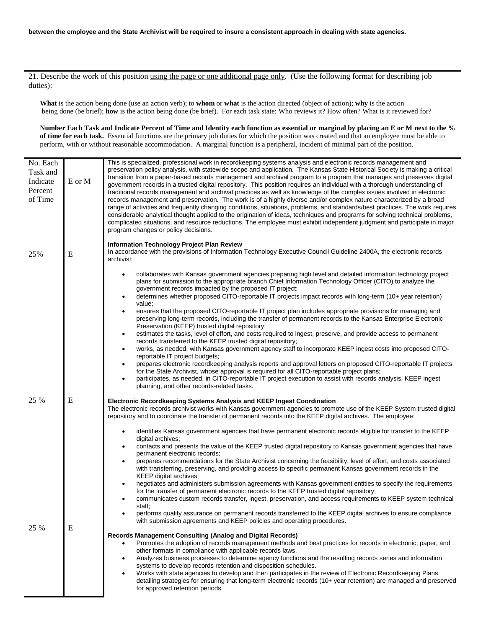21. Describe the work of this position using the page or one additional page only. (Use the following format for describing job duties):

**What** is the action being done (use an action verb); to **whom** or **what** is the action directed (object of action); **why** is the action being done (be brief); how is the action being done (be brief). For each task state: Who reviews it? How often? What is it reviewed for?

**Number Each Task and Indicate Percent of Time and Identity each function as essential or marginal by placing an E or M next to the % of time for each task.** Essential functions are the primary job duties for which the position was created and that an employee must be able to perform, with or without reasonable accommodation. A marginal function is a peripheral, incident of minimal part of the position.

| No. Each<br>Task and<br>Indicate<br>Percent<br>of Time | E or M    | This is specialized, professional work in recordkeeping systems analysis and electronic records management and<br>preservation policy analysis, with statewide scope and application. The Kansas State Historical Society is making a critical<br>transition from a paper-based records management and archival program to a program that manages and preserves digital<br>government records in a trusted digital repository. This position requires an individual with a thorough understanding of<br>traditional records management and archival practices as well as knowledge of the complex issues involved in electronic<br>records management and preservation. The work is of a highly diverse and/or complex nature characterized by a broad<br>range of activities and frequently changing conditions, situations, problems, and standards/best practices. The work requires<br>considerable analytical thought applied to the origination of ideas, techniques and programs for solving technical problems,<br>complicated situations, and resource reductions. The employee must exhibit independent judgment and participate in major<br>program changes or policy decisions.                                                                                                                                                                                                                                                                                      |
|--------------------------------------------------------|-----------|----------------------------------------------------------------------------------------------------------------------------------------------------------------------------------------------------------------------------------------------------------------------------------------------------------------------------------------------------------------------------------------------------------------------------------------------------------------------------------------------------------------------------------------------------------------------------------------------------------------------------------------------------------------------------------------------------------------------------------------------------------------------------------------------------------------------------------------------------------------------------------------------------------------------------------------------------------------------------------------------------------------------------------------------------------------------------------------------------------------------------------------------------------------------------------------------------------------------------------------------------------------------------------------------------------------------------------------------------------------------------------------------------------------------------------------------------------------------------------|
| 25%                                                    | E         | <b>Information Technology Project Plan Review</b><br>In accordance with the provisions of Information Technology Executive Council Guideline 2400A, the electronic records<br>archivist:                                                                                                                                                                                                                                                                                                                                                                                                                                                                                                                                                                                                                                                                                                                                                                                                                                                                                                                                                                                                                                                                                                                                                                                                                                                                                         |
|                                                        |           | collaborates with Kansas government agencies preparing high level and detailed information technology project<br>plans for submission to the appropriate branch Chief Information Technology Officer (CITO) to analyze the<br>government records impacted by the proposed IT project;<br>determines whether proposed CITO-reportable IT projects impact records with long-term (10+ year retention)<br>$\bullet$<br>value;<br>ensures that the proposed CITO-reportable IT project plan includes appropriate provisions for managing and<br>$\bullet$<br>preserving long-term records, including the transfer of permanent records to the Kansas Enterprise Electronic<br>Preservation (KEEP) trusted digital repository;<br>estimates the tasks, level of effort, and costs required to ingest, preserve, and provide access to permanent<br>$\bullet$<br>records transferred to the KEEP trusted digital repository;<br>works, as needed, with Kansas government agency staff to incorporate KEEP ingest costs into proposed CITO-<br>$\bullet$<br>reportable IT project budgets;<br>prepares electronic recordkeeping analysis reports and approval letters on proposed CITO-reportable IT projects<br>$\bullet$<br>for the State Archivist, whose approval is required for all CITO-reportable project plans;<br>participates, as needed, in CITO-reportable IT project execution to assist with records analysis, KEEP ingest<br>planning, and other records-related tasks. |
| 25 %                                                   | ${\bf E}$ | Electronic Recordkeeping Systems Analysis and KEEP Ingest Coordination<br>The electronic records archivist works with Kansas government agencies to promote use of the KEEP System trusted digital<br>repository and to coordinate the transfer of permanent records into the KEEP digital archives. The employee:<br>identifies Kansas government agencies that have permanent electronic records eligible for transfer to the KEEP                                                                                                                                                                                                                                                                                                                                                                                                                                                                                                                                                                                                                                                                                                                                                                                                                                                                                                                                                                                                                                             |
|                                                        |           | digital archives;<br>contacts and presents the value of the KEEP trusted digital repository to Kansas government agencies that have<br>$\bullet$<br>permanent electronic records;<br>prepares recommendations for the State Archivist concerning the feasibility, level of effort, and costs associated<br>with transferring, preserving, and providing access to specific permanent Kansas government records in the<br>KEEP digital archives;                                                                                                                                                                                                                                                                                                                                                                                                                                                                                                                                                                                                                                                                                                                                                                                                                                                                                                                                                                                                                                  |
|                                                        |           | negotiates and administers submission agreements with Kansas government entities to specify the requirements<br>for the transfer of permanent electronic records to the KEEP trusted digital repository;<br>communicates custom records transfer, ingest, preservation, and access requirements to KEEP system technical<br>staff;<br>performs quality assurance on permanent records transferred to the KEEP digital archives to ensure compliance                                                                                                                                                                                                                                                                                                                                                                                                                                                                                                                                                                                                                                                                                                                                                                                                                                                                                                                                                                                                                              |
| 25 %                                                   | E         | with submission agreements and KEEP policies and operating procedures.<br><b>Records Management Consulting (Analog and Digital Records)</b><br>Promotes the adoption of records management methods and best practices for records in electronic, paper, and<br>other formats in compliance with applicable records laws.<br>Analyzes business processes to determine agency functions and the resulting records series and information<br>systems to develop records retention and disposition schedules.<br>Works with state agencies to develop and then participates in the review of Electronic Recordkeeping Plans<br>detailing strategies for ensuring that long-term electronic records (10+ year retention) are managed and preserved<br>for approved retention periods.                                                                                                                                                                                                                                                                                                                                                                                                                                                                                                                                                                                                                                                                                                 |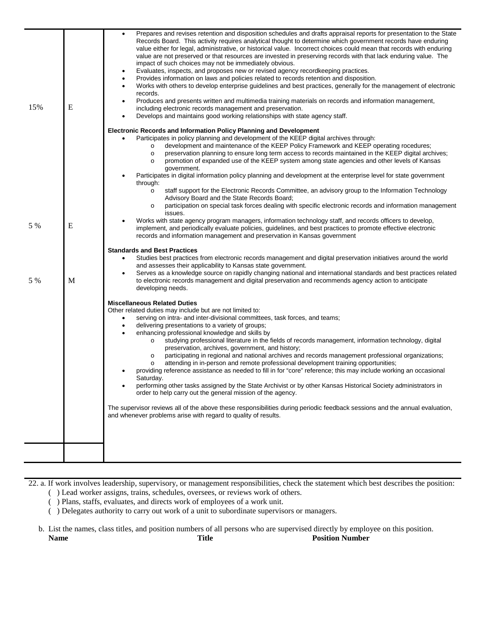| 15% | ${\bf E}$ | Prepares and revises retention and disposition schedules and drafts appraisal reports for presentation to the State<br>Records Board. This activity requires analytical thought to determine which government records have enduring<br>value either for legal, administrative, or historical value. Incorrect choices could mean that records with enduring<br>value are not preserved or that resources are invested in preserving records with that lack enduring value. The<br>impact of such choices may not be immediately obvious.<br>Evaluates, inspects, and proposes new or revised agency recordkeeping practices.<br>٠<br>Provides information on laws and policies related to records retention and disposition.<br>Works with others to develop enterprise guidelines and best practices, generally for the management of electronic<br>٠<br>records.<br>Produces and presents written and multimedia training materials on records and information management,<br>including electronic records management and preservation.<br>Develops and maintains good working relationships with state agency staff.                                                                                                                                          |
|-----|-----------|------------------------------------------------------------------------------------------------------------------------------------------------------------------------------------------------------------------------------------------------------------------------------------------------------------------------------------------------------------------------------------------------------------------------------------------------------------------------------------------------------------------------------------------------------------------------------------------------------------------------------------------------------------------------------------------------------------------------------------------------------------------------------------------------------------------------------------------------------------------------------------------------------------------------------------------------------------------------------------------------------------------------------------------------------------------------------------------------------------------------------------------------------------------------------------------------------------------------------------------------------------------|
| 5 % | E         | <b>Electronic Records and Information Policy Planning and Development</b><br>Participates in policy planning and development of the KEEP digital archives through:<br>development and maintenance of the KEEP Policy Framework and KEEP operating rocedures;<br>$\circ$<br>preservation planning to ensure long term access to records maintained in the KEEP digital archives;<br>$\circ$<br>promotion of expanded use of the KEEP system among state agencies and other levels of Kansas<br>$\circ$<br>government.<br>Participates in digital information policy planning and development at the enterprise level for state government<br>through:<br>staff support for the Electronic Records Committee, an advisory group to the Information Technology<br>$\circ$<br>Advisory Board and the State Records Board;<br>participation on special task forces dealing with specific electronic records and information management<br>$\circ$<br>issues.<br>Works with state agency program managers, information technology staff, and records officers to develop,<br>implement, and periodically evaluate policies, guidelines, and best practices to promote effective electronic<br>records and information management and preservation in Kansas government |
| 5 % | М         | <b>Standards and Best Practices</b><br>Studies best practices from electronic records management and digital preservation initiatives around the world<br>and assesses their applicability to Kansas state government.<br>Serves as a knowledge source on rapidly changing national and international standards and best practices related<br>to electronic records management and digital preservation and recommends agency action to anticipate<br>developing needs.                                                                                                                                                                                                                                                                                                                                                                                                                                                                                                                                                                                                                                                                                                                                                                                          |
|     |           | <b>Miscellaneous Related Duties</b><br>Other related duties may include but are not limited to:<br>serving on intra- and inter-divisional committees, task forces, and teams;<br>delivering presentations to a variety of groups;<br>٠<br>enhancing professional knowledge and skills by<br>studying professional literature in the fields of records management, information technology, digital<br>$\circ$<br>preservation, archives, government, and history;<br>participating in regional and national archives and records management professional organizations;<br>$\circ$<br>attending in in-person and remote professional development training opportunities;<br>$\circ$<br>providing reference assistance as needed to fill in for "core" reference; this may include working an occasional<br>Saturday.<br>performing other tasks assigned by the State Archivist or by other Kansas Historical Society administrators in<br>order to help carry out the general mission of the agency.<br>The supervisor reviews all of the above these responsibilities during periodic feedback sessions and the annual evaluation,<br>and whenever problems arise with regard to quality of results.                                                             |
|     |           |                                                                                                                                                                                                                                                                                                                                                                                                                                                                                                                                                                                                                                                                                                                                                                                                                                                                                                                                                                                                                                                                                                                                                                                                                                                                  |

22. a. If work involves leadership, supervisory, or management responsibilities, check the statement which best describes the position:

- ( ) Lead worker assigns, trains, schedules, oversees, or reviews work of others.
- ( ) Plans, staffs, evaluates, and directs work of employees of a work unit. ( ) Delegates authority to carry out work of a unit to subordinate supervisors or managers.

b. List the names, class titles, and position numbers of all persons who are supervised directly by employee on this position.<br> **Name** Position Number Title Position Number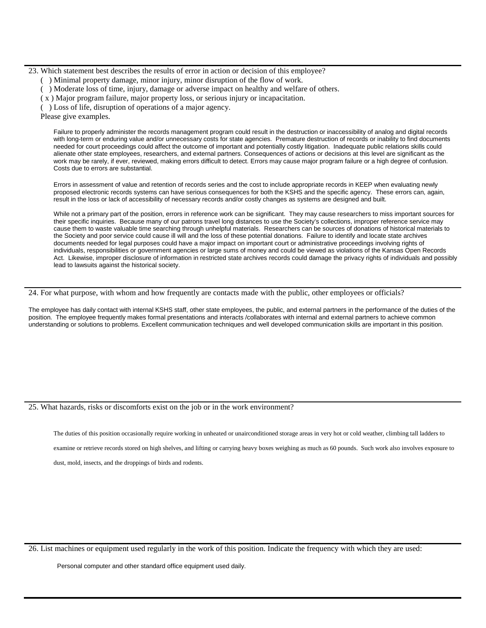23. Which statement best describes the results of error in action or decision of this employee?

- ( ) Minimal property damage, minor injury, minor disruption of the flow of work.
- ( ) Moderate loss of time, injury, damage or adverse impact on healthy and welfare of others.
- ( x ) Major program failure, major property loss, or serious injury or incapacitation.

( ) Loss of life, disruption of operations of a major agency.

Please give examples.

Failure to properly administer the records management program could result in the destruction or inaccessibility of analog and digital records with long-term or enduring value and/or unnecessary costs for state agencies. Premature destruction of records or inability to find documents needed for court proceedings could affect the outcome of important and potentially costly litigation. Inadequate public relations skills could alienate other state employees, researchers, and external partners. Consequences of actions or decisions at this level are significant as the work may be rarely, if ever, reviewed, making errors difficult to detect. Errors may cause major program failure or a high degree of confusion. Costs due to errors are substantial.

Errors in assessment of value and retention of records series and the cost to include appropriate records in KEEP when evaluating newly proposed electronic records systems can have serious consequences for both the KSHS and the specific agency. These errors can, again, result in the loss or lack of accessibility of necessary records and/or costly changes as systems are designed and built.

While not a primary part of the position, errors in reference work can be significant. They may cause researchers to miss important sources for their specific inquiries. Because many of our patrons travel long distances to use the Society's collections, improper reference service may cause them to waste valuable time searching through unhelpful materials. Researchers can be sources of donations of historical materials to the Society and poor service could cause ill will and the loss of these potential donations. Failure to identify and locate state archives documents needed for legal purposes could have a major impact on important court or administrative proceedings involving rights of individuals, responsibilities or government agencies or large sums of money and could be viewed as violations of the Kansas Open Records Act. Likewise, improper disclosure of information in restricted state archives records could damage the privacy rights of individuals and possibly lead to lawsuits against the historical society.

24. For what purpose, with whom and how frequently are contacts made with the public, other employees or officials?

The employee has daily contact with internal KSHS staff, other state employees, the public, and external partners in the performance of the duties of the position. The employee frequently makes formal presentations and interacts /collaborates with internal and external partners to achieve common understanding or solutions to problems. Excellent communication techniques and well developed communication skills are important in this position.

#### 25. What hazards, risks or discomforts exist on the job or in the work environment?

The duties of this position occasionally require working in unheated or unairconditioned storage areas in very hot or cold weather, climbing tall ladders to

examine or retrieve records stored on high shelves, and lifting or carrying heavy boxes weighing as much as 60 pounds. Such work also involves exposure to

dust, mold, insects, and the droppings of birds and rodents.

26. List machines or equipment used regularly in the work of this position. Indicate the frequency with which they are used:

Personal computer and other standard office equipment used daily.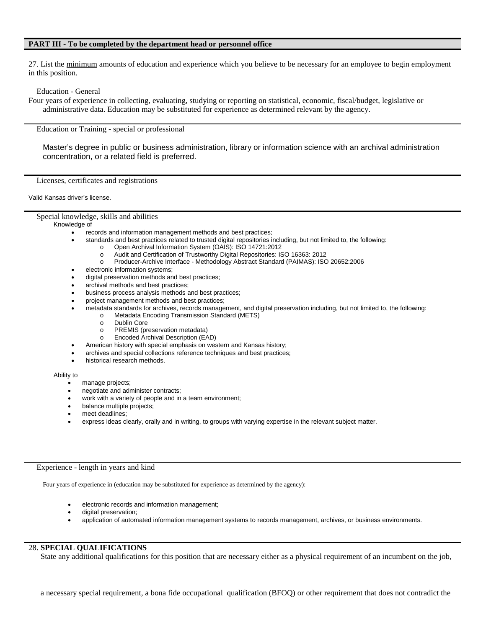### **PART III - To be completed by the department head or personnel office**

27. List the minimum amounts of education and experience which you believe to be necessary for an employee to begin employment in this position.

Education - General

Four years of experience in collecting, evaluating, studying or reporting on statistical, economic, fiscal/budget, legislative or administrative data. Education may be substituted for experience as determined relevant by the agency.

Education or Training - special or professional

Master's degree in public or business administration, library or information science with an archival administration concentration, or a related field is preferred.

Licenses, certificates and registrations

Valid Kansas driver's license.

Special knowledge, skills and abilities

#### Knowledge of

- records and information management methods and best practices;
	- standards and best practices related to trusted digital repositories including, but not limited to, the following:
		- o Open Archival Information System (OAIS): ISO 14721:2012
		- o Audit and Certification of Trustworthy Digital Repositories: ISO 16363: 2012
		- Producer-Archive Interface Methodology Abstract Standard (PAIMAS): ISO 20652:2006
- electronic information systems;
- digital preservation methods and best practices;
- archival methods and best practices;
- business process analysis methods and best practices;
- project management methods and best practices;
- metadata standards for archives, records management, and digital preservation including, but not limited to, the following:
	- o Metadata Encoding Transmission Standard (METS)
	- o Dublin Core<br>o PREMIS (pr
	- o PREMIS (preservation metadata)<br>o Encoded Archival Description (EA
	- Encoded Archival Description (EAD)
- American history with special emphasis on western and Kansas history;
- archives and special collections reference techniques and best practices;
- historical research methods.

#### Ability to

- manage projects;
- negotiate and administer contracts;
- work with a variety of people and in a team environment;
- balance multiple projects;
- meet deadlines;
- express ideas clearly, orally and in writing, to groups with varying expertise in the relevant subject matter.

## Experience - length in years and kind

Four years of experience in (education may be substituted for experience as determined by the agency):

- electronic records and information management;
- digital preservation;
- application of automated information management systems to records management, archives, or business environments.

## 28. **SPECIAL QUALIFICATIONS**

State any additional qualifications for this position that are necessary either as a physical requirement of an incumbent on the job,